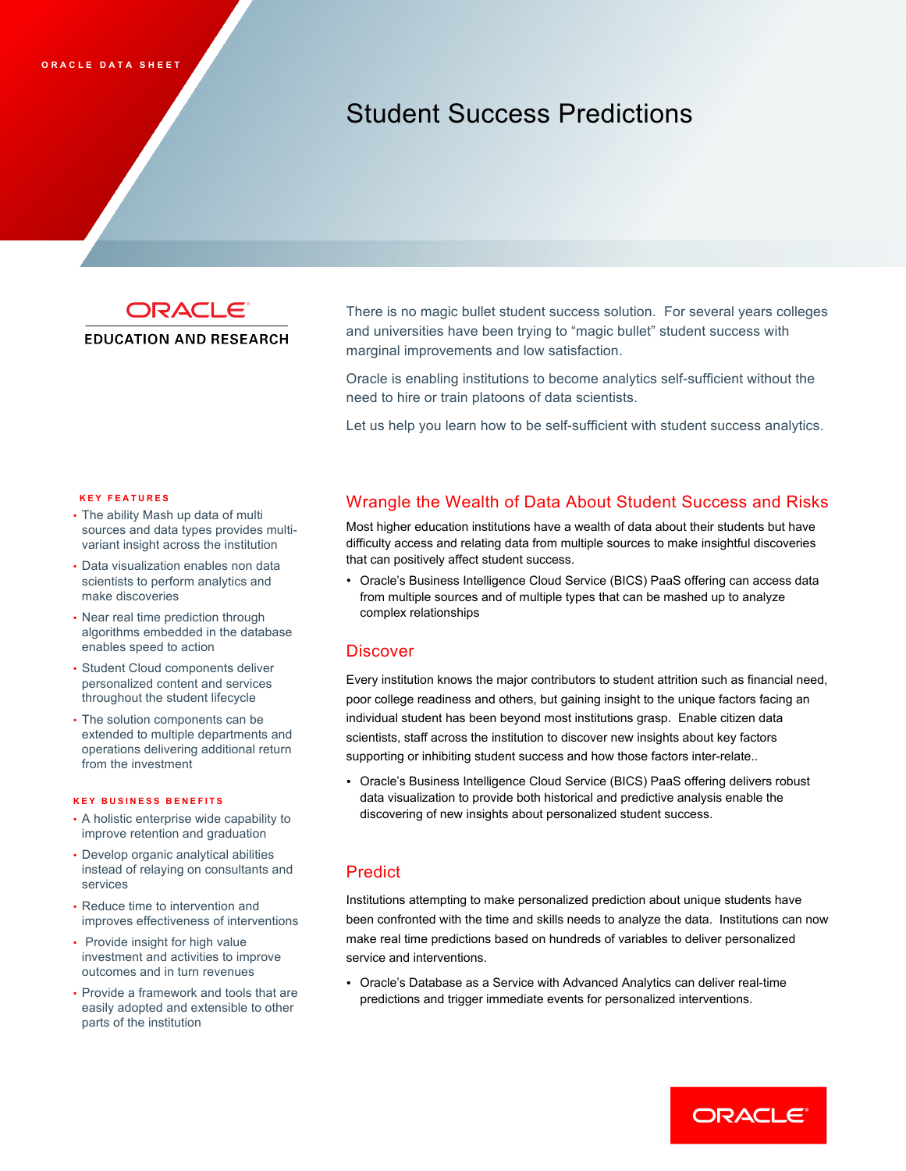# Student Success Predictions

ORACLE®

## **EDUCATION AND RESEARCH**

 and universities have been trying to "magic bullet" student success with marginal improvements and low satisfaction. There is no magic bullet student success solution. For several years colleges

 Oracle is enabling institutions to become analytics self-sufficient without the need to hire or train platoons of data scientists.

Let us help you learn how to be self-sufficient with student success analytics.

#### **KEY FEATURES**

- • The ability Mash up data of multi sources and data types provides multi-variant insight across the institution
- • Data visualization enables non data scientists to perform analytics and make discoveries
- • Near real time prediction through algorithms embedded in the database enables speed to action
- • Student Cloud components deliver personalized content and services throughout the student lifecycle
- The solution components can be extended to multiple departments and operations delivering additional return from the investment

#### **KEY BUSINESS BENEFIT S**

- • A holistic enterprise wide capability to improve retention and graduation
- • Develop organic analytical abilities instead of relaying on consultants and services
- • Reduce time to intervention and improves effectiveness of interventions
- Provide insight for high value investment and activities to improve outcomes and in turn revenues
- • Provide a framework and tools that are parts of the institution easily adopted and extensible to other

# Wrangle the Wealth of Data About Student Success and Risks

 Most higher education institutions have a wealth of data about their students but have difficulty access and relating data from multiple sources to make insightful discoveries that can positively affect student success.

 • Oracle's Business Intelligence Cloud Service (BICS) PaaS offering can access data from multiple sources and of multiple types that can be mashed up to analyze complex relationships<br>Discover

 Every institution knows the major contributors to student attrition such as financial need, poor college readiness and others, but gaining insight to the unique factors facing an individual student has been beyond most institutions grasp. Enable citizen data scientists, staff across the institution to discover new insights about key factors supporting or inhibiting student success and how those factors inter-relate..

 • Oracle's Business Intelligence Cloud Service (BICS) PaaS offering delivers robust data visualization to provide both historical and predictive analysis enable the discovering of new insights about personalized student success.

# **Predict**

 Institutions attempting to make personalized prediction about unique students have been confronted with the time and skills needs to analyze the data. Institutions can now make real time predictions based on hundreds of variables to deliver personalized service and interventions.

 • Oracle's Database as a Service with Advanced Analytics can deliver real-time predictions and trigger immediate events for personalized interventions.